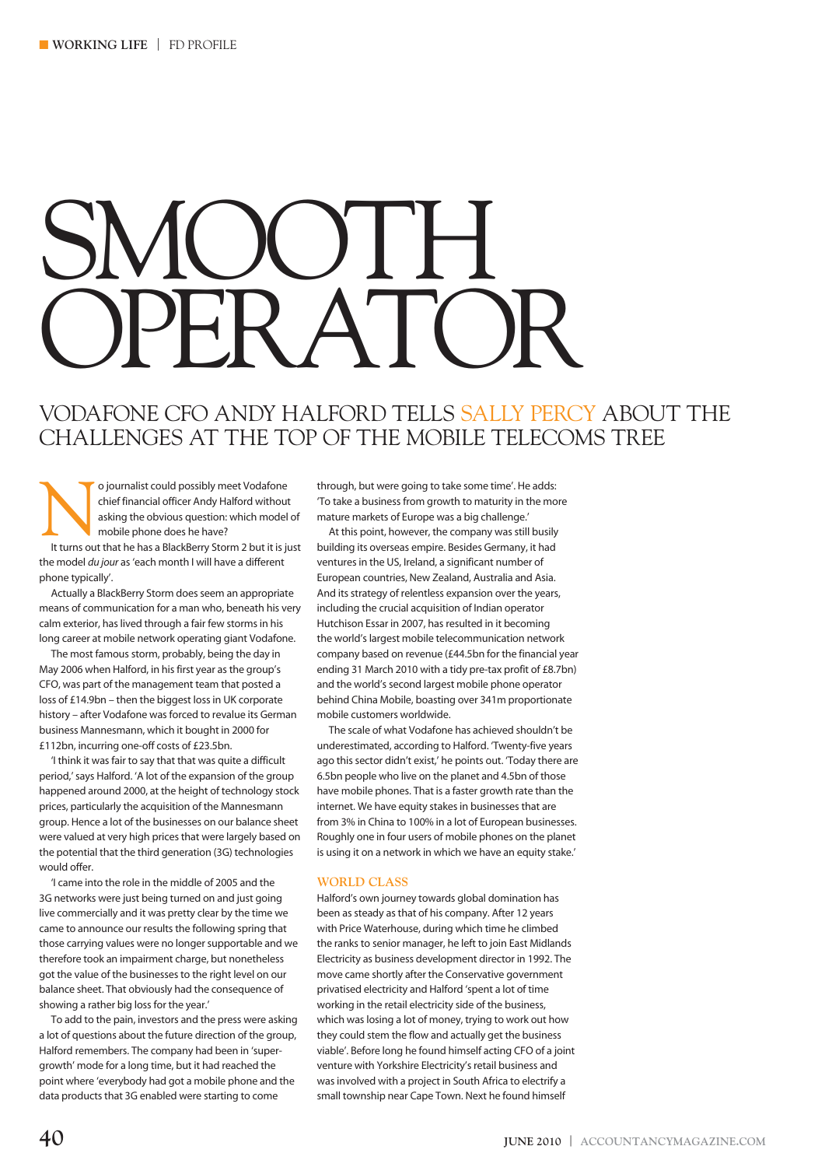# SMOOTH, HR AT

## VODAFONE CFO ANDY HALFORD TELLS SALLY PERCY ABOUT THE CHALLENGES AT THE TOP OF THE MOBILE TELECOMS TREE

O journalist could possibly meet Vodafone<br>
chief financial officer Andy Halford without<br>
asking the obvious question: which model of<br>
It turns out that he has a BlackBerry Storm 2 but it is just<br>
it is just chief financial officer Andy Halford without asking the obvious question: which model of mobile phone does he have?

the model *du jour* as 'each month I will have a different phone typically'.

Actually a BlackBerry Storm does seem an appropriate means of communication for a man who, beneath his very calm exterior, has lived through a fair few storms in his long career at mobile network operating giant Vodafone.

The most famous storm, probably, being the day in May 2006 when Halford, in his first year as the group's CFO, was part of the management team that posted a loss of £14.9bn – then the biggest loss in UK corporate history – after Vodafone was forced to revalue its German business Mannesmann, which it bought in 2000 for £112bn, incurring one-off costs of £23.5bn.

'I think it was fair to say that that was quite a difficult period,' says Halford. 'A lot of the expansion of the group happened around 2000, at the height of technology stock prices, particularly the acquisition of the Mannesmann group. Hence a lot of the businesses on our balance sheet were valued at very high prices that were largely based on the potential that the third generation (3G) technologies would offer.

'I came into the role in the middle of 2005 and the 3G networks were just being turned on and just going live commercially and it was pretty clear by the time we came to announce our results the following spring that those carrying values were no longer supportable and we therefore took an impairment charge, but nonetheless got the value of the businesses to the right level on our balance sheet. That obviously had the consequence of showing a rather big loss for the year.'

To add to the pain, investors and the press were asking a lot of questions about the future direction of the group, Halford remembers. The company had been in 'supergrowth' mode for a long time, but it had reached the point where 'everybody had got a mobile phone and the data products that 3G enabled were starting to come

through, but were going to take some time'. He adds: 'To take a business from growth to maturity in the more mature markets of Europe was a big challenge.'

At this point, however, the company was still busily building its overseas empire. Besides Germany, it had ventures in the US, Ireland, a significant number of European countries, New Zealand, Australia and Asia. And its strategy of relentless expansion over the years, including the crucial acquisition of Indian operator Hutchison Essar in 2007, has resulted in it becoming the world's largest mobile telecommunication network company based on revenue (£44.5bn for the financial year ending 31 March 2010 with a tidy pre-tax profit of £8.7bn) and the world's second largest mobile phone operator behind China Mobile, boasting over 341m proportionate mobile customers worldwide.

The scale of what Vodafone has achieved shouldn't be underestimated, according to Halford. 'Twenty-five years ago this sector didn't exist,' he points out. 'Today there are 6.5bn people who live on the planet and 4.5bn of those have mobile phones. That is a faster growth rate than the internet. We have equity stakes in businesses that are from 3% in China to 100% in a lot of European businesses. Roughly one in four users of mobile phones on the planet is using it on a network in which we have an equity stake.'

#### **WORLD CLASS**

Halford's own journey towards global domination has been as steady as that of his company. After 12 years with Price Waterhouse, during which time he climbed the ranks to senior manager, he left to join East Midlands Electricity as business development director in 1992. The move came shortly after the Conservative government privatised electricity and Halford 'spent a lot of time working in the retail electricity side of the business, which was losing a lot of money, trying to work out how they could stem the flow and actually get the business viable'. Before long he found himself acting CFO of a joint venture with Yorkshire Electricity's retail business and was involved with a project in South Africa to electrify a small township near Cape Town. Next he found himself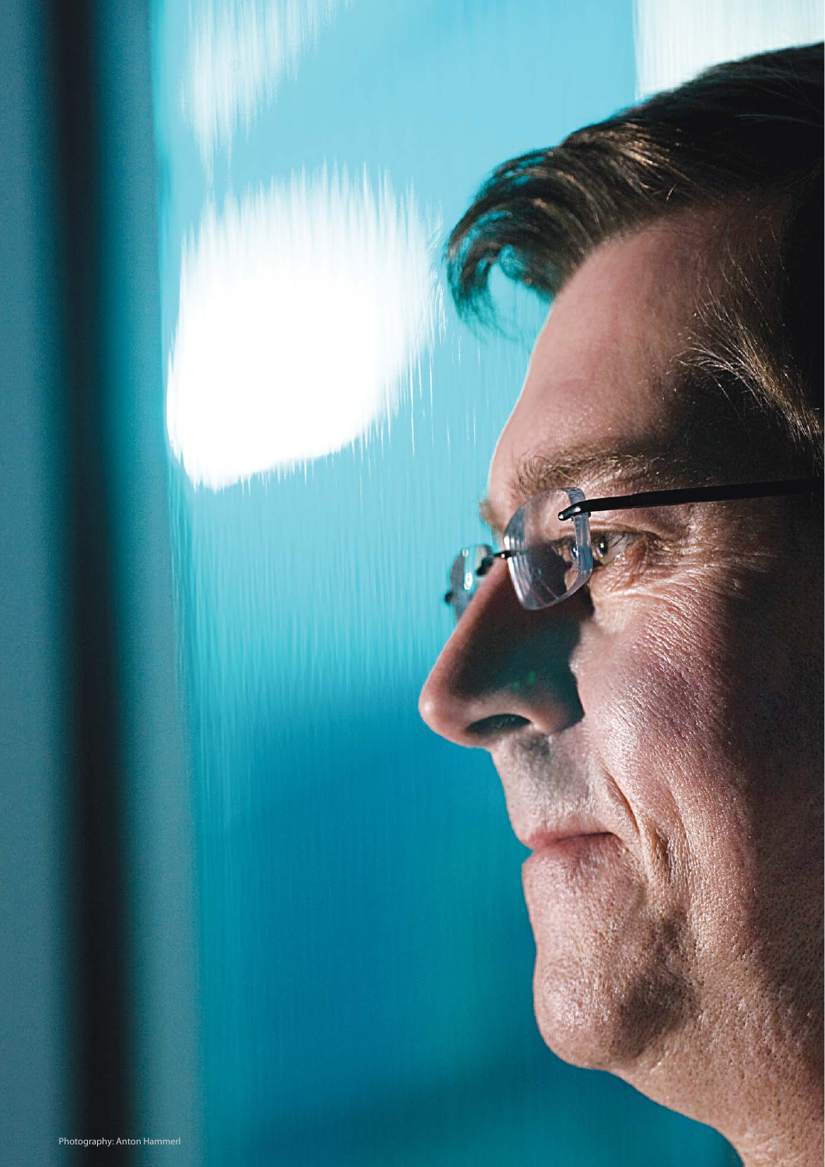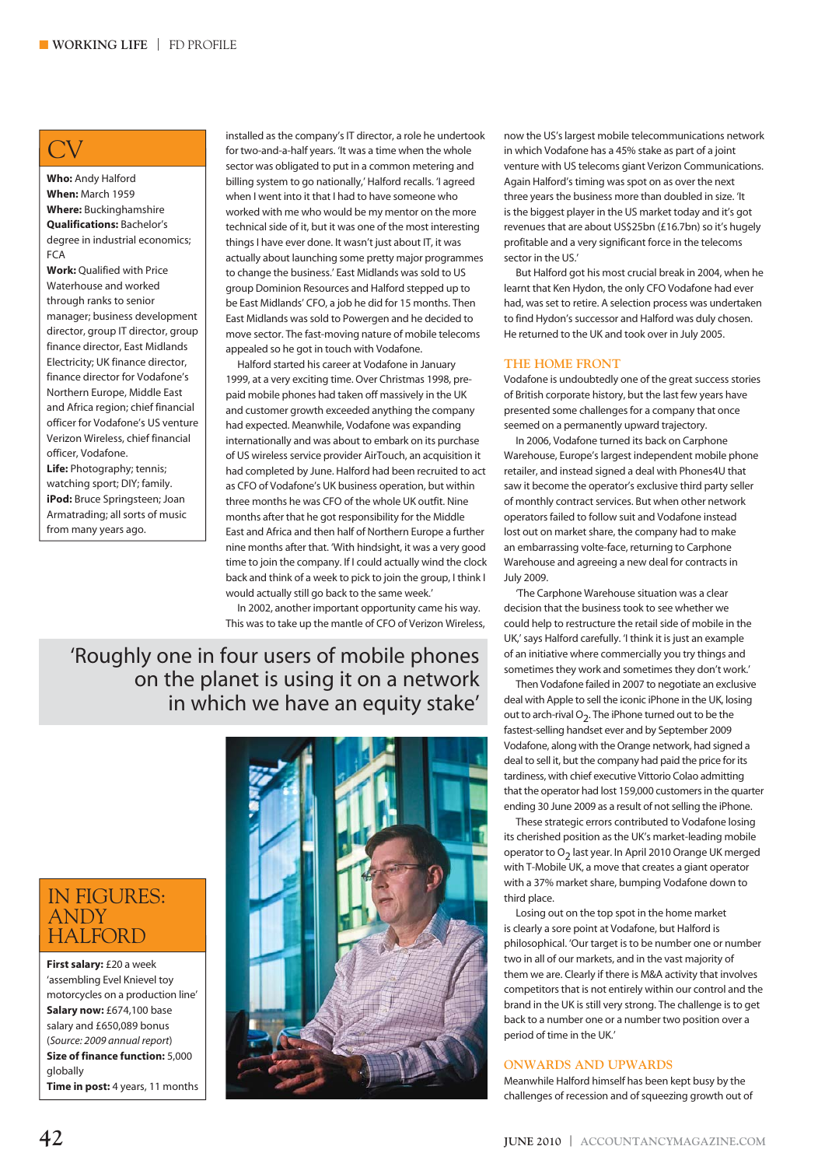# CV

**Who:** Andy Halford **When:** March 1959 **Where:** Buckinghamshire **Qualifications:** Bachelor's degree in industrial economics;  $ECA$ 

**Work:** Qualified with Price Waterhouse and worked through ranks to senior manager; business development director, group IT director, group finance director, East Midlands Electricity; UK finance director, finance director for Vodafone's Northern Europe, Middle East and Africa region; chief financial officer for Vodafone's US venture Verizon Wireless, chief financial officer, Vodafone.

**Life:** Photography; tennis; watching sport; DIY; family. **iPod:** Bruce Springsteen; Joan Armatrading; all sorts of music from many years ago.

installed as the company's IT director, a role he undertook for two-and-a-half years. 'It was a time when the whole sector was obligated to put in a common metering and billing system to go nationally,' Halford recalls. 'I agreed when I went into it that I had to have someone who worked with me who would be my mentor on the more technical side of it, but it was one of the most interesting things I have ever done. It wasn't just about IT, it was actually about launching some pretty major programmes to change the business.' East Midlands was sold to US group Dominion Resources and Halford stepped up to be East Midlands' CFO, a job he did for 15 months. Then East Midlands was sold to Powergen and he decided to move sector. The fast-moving nature of mobile telecoms appealed so he got in touch with Vodafone.

Halford started his career at Vodafone in January 1999, at a very exciting time. Over Christmas 1998, prepaid mobile phones had taken off massively in the UK and customer growth exceeded anything the company had expected. Meanwhile, Vodafone was expanding internationally and was about to embark on its purchase of US wireless service provider AirTouch, an acquisition it had completed by June. Halford had been recruited to act as CFO of Vodafone's UK business operation, but within three months he was CFO of the whole UK outfit. Nine months after that he got responsibility for the Middle East and Africa and then half of Northern Europe a further nine months after that. 'With hindsight, it was a very good time to join the company. If I could actually wind the clock back and think of a week to pick to join the group, I think I would actually still go back to the same week.'

In 2002, another important opportunity came his way. This was to take up the mantle of CFO of Verizon Wireless,

'Roughly one in four users of mobile phones on the planet is using it on a network in which we have an equity stake'

## IN FIGURES: ANDY **HALFORD**

**First salary:** £20 a week 'assembling Evel Knievel toy motorcycles on a production line' **Salary now:** £674,100 base salary and £650,089 bonus (*Source: 2009 annual report*) **Size of finance function:** 5,000 globally **Time in post:** 4 years, 11 months



now the US's largest mobile telecommunications network in which Vodafone has a 45% stake as part of a joint venture with US telecoms giant Verizon Communications. Again Halford's timing was spot on as over the next three years the business more than doubled in size. 'It is the biggest player in the US market today and it's got revenues that are about US\$25bn (£16.7bn) so it's hugely profitable and a very significant force in the telecoms sector in the US.'

But Halford got his most crucial break in 2004, when he learnt that Ken Hydon, the only CFO Vodafone had ever had, was set to retire. A selection process was undertaken to find Hydon's successor and Halford was duly chosen. He returned to the UK and took over in July 2005.

#### **THE HOME FRONT**

Vodafone is undoubtedly one of the great success stories of British corporate history, but the last few years have presented some challenges for a company that once seemed on a permanently upward trajectory.

In 2006, Vodafone turned its back on Carphone Warehouse, Europe's largest independent mobile phone retailer, and instead signed a deal with Phones4U that saw it become the operator's exclusive third party seller of monthly contract services. But when other network operators failed to follow suit and Vodafone instead lost out on market share, the company had to make an embarrassing volte-face, returning to Carphone Warehouse and agreeing a new deal for contracts in July 2009.

'The Carphone Warehouse situation was a clear decision that the business took to see whether we could help to restructure the retail side of mobile in the UK,' says Halford carefully. 'I think it is just an example of an initiative where commercially you try things and sometimes they work and sometimes they don't work.'

Then Vodafone failed in 2007 to negotiate an exclusive deal with Apple to sell the iconic iPhone in the UK, losing out to arch-rival  $O_2$ . The iPhone turned out to be the fastest-selling handset ever and by September 2009 Vodafone, along with the Orange network, had signed a deal to sell it, but the company had paid the price for its tardiness, with chief executive Vittorio Colao admitting that the operator had lost 159,000 customers in the quarter ending 30 June 2009 as a result of not selling the iPhone.

These strategic errors contributed to Vodafone losing its cherished position as the UK's market-leading mobile operator to  $O<sub>2</sub>$  last year. In April 2010 Orange UK merged with T-Mobile UK, a move that creates a giant operator with a 37% market share, bumping Vodafone down to third place.

Losing out on the top spot in the home market is clearly a sore point at Vodafone, but Halford is philosophical. 'Our target is to be number one or number two in all of our markets, and in the vast majority of them we are. Clearly if there is M&A activity that involves competitors that is not entirely within our control and the brand in the UK is still very strong. The challenge is to get back to a number one or a number two position over a period of time in the UK.'

### **ONWARDS AND UPWARDS**

Meanwhile Halford himself has been kept busy by the challenges of recession and of squeezing growth out of